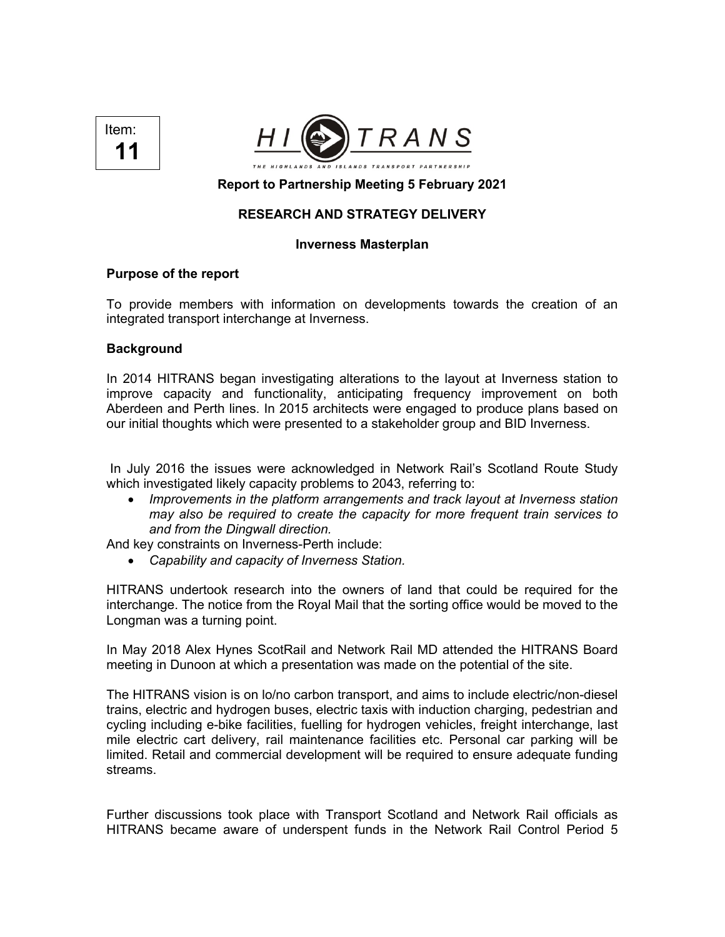



# **Report to Partnership Meeting 5 February 2021**

## **RESEARCH AND STRATEGY DELIVERY**

### **Inverness Masterplan**

### **Purpose of the report**

To provide members with information on developments towards the creation of an integrated transport interchange at Inverness.

### **Background**

In 2014 HITRANS began investigating alterations to the layout at Inverness station to improve capacity and functionality, anticipating frequency improvement on both Aberdeen and Perth lines. In 2015 architects were engaged to produce plans based on our initial thoughts which were presented to a stakeholder group and BID Inverness.

In July 2016 the issues were acknowledged in Network Rail's Scotland Route Study which investigated likely capacity problems to 2043, referring to:

• *Improvements in the platform arrangements and track layout at Inverness station may also be required to create the capacity for more frequent train services to and from the Dingwall direction.*

And key constraints on Inverness-Perth include:

• *Capability and capacity of Inverness Station.*

HITRANS undertook research into the owners of land that could be required for the interchange. The notice from the Royal Mail that the sorting office would be moved to the Longman was a turning point.

In May 2018 Alex Hynes ScotRail and Network Rail MD attended the HITRANS Board meeting in Dunoon at which a presentation was made on the potential of the site.

The HITRANS vision is on lo/no carbon transport, and aims to include electric/non-diesel trains, electric and hydrogen buses, electric taxis with induction charging, pedestrian and cycling including e-bike facilities, fuelling for hydrogen vehicles, freight interchange, last mile electric cart delivery, rail maintenance facilities etc. Personal car parking will be limited. Retail and commercial development will be required to ensure adequate funding streams.

Further discussions took place with Transport Scotland and Network Rail officials as HITRANS became aware of underspent funds in the Network Rail Control Period 5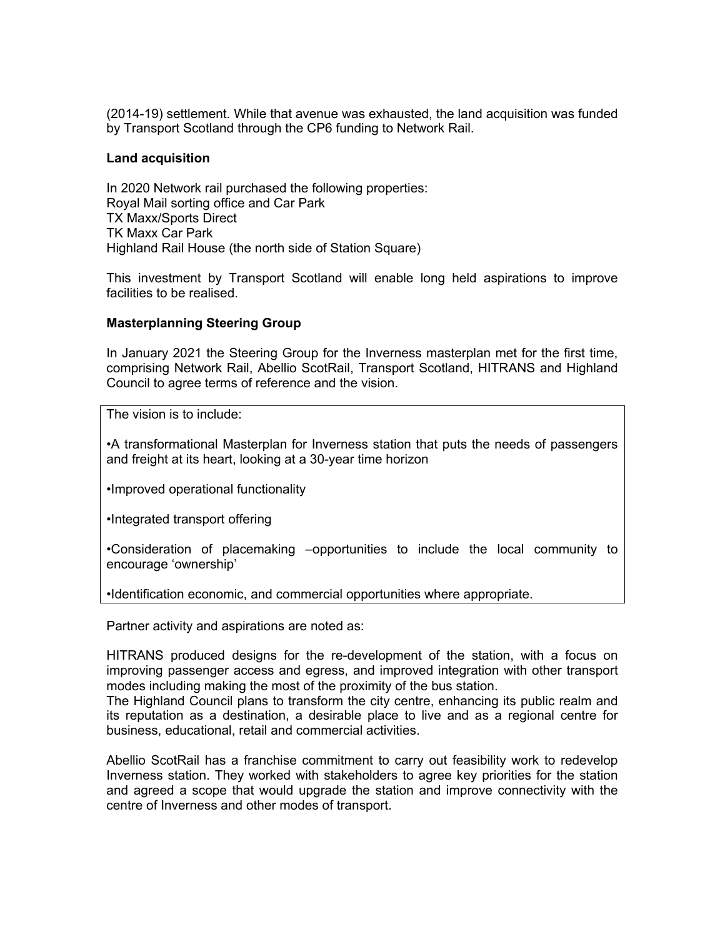(2014-19) settlement. While that avenue was exhausted, the land acquisition was funded by Transport Scotland through the CP6 funding to Network Rail.

### **Land acquisition**

In 2020 Network rail purchased the following properties: Royal Mail sorting office and Car Park TX Maxx/Sports Direct TK Maxx Car Park Highland Rail House (the north side of Station Square)

This investment by Transport Scotland will enable long held aspirations to improve facilities to be realised.

## **Masterplanning Steering Group**

In January 2021 the Steering Group for the Inverness masterplan met for the first time, comprising Network Rail, Abellio ScotRail, Transport Scotland, HITRANS and Highland Council to agree terms of reference and the vision.

The vision is to include:

•A transformational Masterplan for Inverness station that puts the needs of passengers and freight at its heart, looking at a 30-year time horizon

•Improved operational functionality

•Integrated transport offering

•Consideration of placemaking –opportunities to include the local community to encourage 'ownership'

•Identification economic, and commercial opportunities where appropriate.

Partner activity and aspirations are noted as:

HITRANS produced designs for the re-development of the station, with a focus on improving passenger access and egress, and improved integration with other transport modes including making the most of the proximity of the bus station.

The Highland Council plans to transform the city centre, enhancing its public realm and its reputation as a destination, a desirable place to live and as a regional centre for business, educational, retail and commercial activities.

Abellio ScotRail has a franchise commitment to carry out feasibility work to redevelop Inverness station. They worked with stakeholders to agree key priorities for the station and agreed a scope that would upgrade the station and improve connectivity with the centre of Inverness and other modes of transport.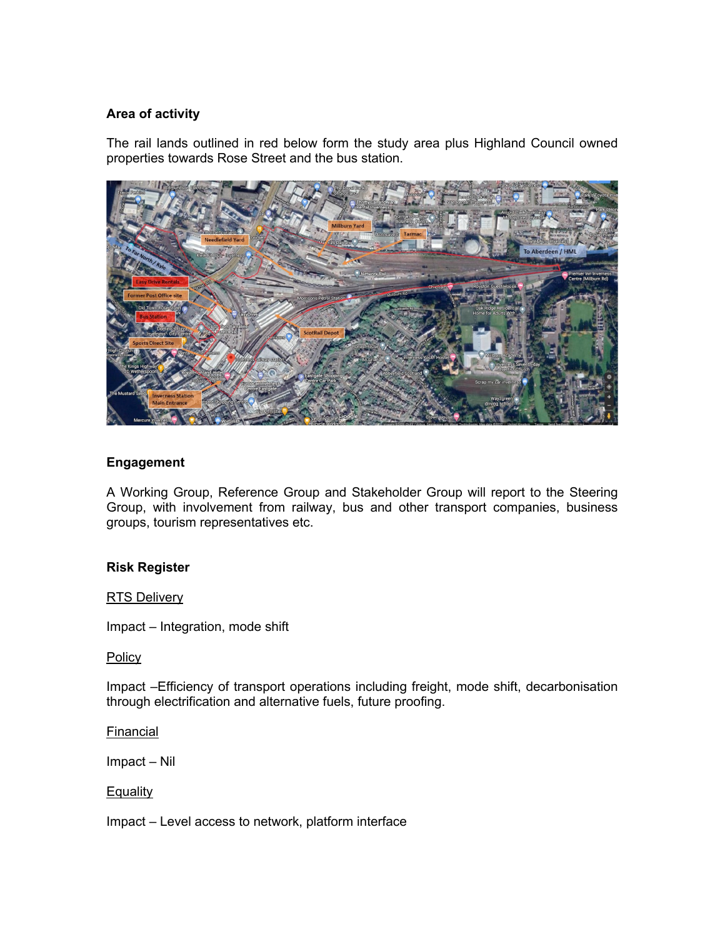# **Area of activity**

The rail lands outlined in red below form the study area plus Highland Council owned properties towards Rose Street and the bus station.



## **Engagement**

A Working Group, Reference Group and Stakeholder Group will report to the Steering Group, with involvement from railway, bus and other transport companies, business groups, tourism representatives etc.

### **Risk Register**

RTS Delivery

Impact – Integration, mode shift

**Policy** 

Impact –Efficiency of transport operations including freight, mode shift, decarbonisation through electrification and alternative fuels, future proofing.

Financial

Impact – Nil

**Equality** 

Impact – Level access to network, platform interface